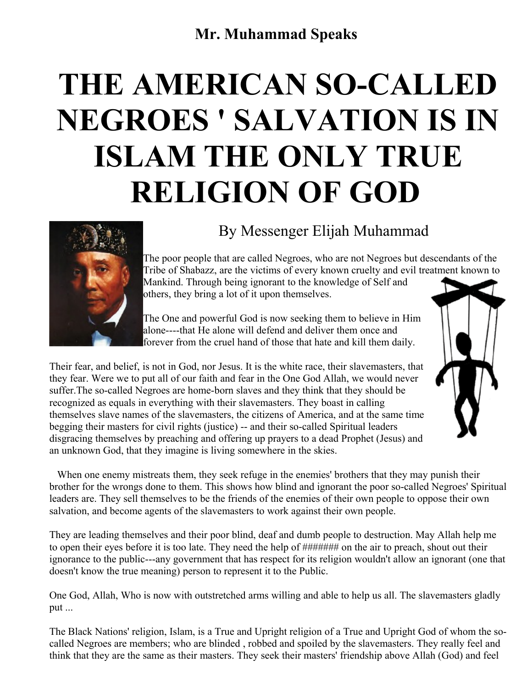## **Mr. Muhammad Speaks**

## **THE AMERICAN SO-CALLED NEGROES ' SALVATION IS IN ISLAM THE ONLY TRUE RELIGION OF GOD**



## By Messenger Elijah Muhammad

The poor people that are called Negroes, who are not Negroes but descendants of the Tribe of Shabazz, are the victims of every known cruelty and evil treatment known to Mankind. Through being ignorant to the knowledge of Self and others, they bring a lot of it upon themselves.

The One and powerful God is now seeking them to believe in Him alone----that He alone will defend and deliver them once and forever from the cruel hand of those that hate and kill them daily.

Their fear, and belief, is not in God, nor Jesus. It is the white race, their slavemasters, that they fear. Were we to put all of our faith and fear in the One God Allah, we would never suffer.The so-called Negroes are home-born slaves and they think that they should be recognized as equals in everything with their slavemasters. They boast in calling themselves slave names of the slavemasters, the citizens of America, and at the same time begging their masters for civil rights (justice) -- and their so-called Spiritual leaders disgracing themselves by preaching and offering up prayers to a dead Prophet (Jesus) and an unknown God, that they imagine is living somewhere in the skies.

When one enemy mistreats them, they seek refuge in the enemies' brothers that they may punish their brother for the wrongs done to them. This shows how blind and ignorant the poor so-called Negroes' Spiritual leaders are. They sell themselves to be the friends of the enemies of their own people to oppose their own salvation, and become agents of the slavemasters to work against their own people.

They are leading themselves and their poor blind, deaf and dumb people to destruction. May Allah help me to open their eyes before it is too late. They need the help of ####### on the air to preach, shout out their ignorance to the public---any government that has respect for its religion wouldn't allow an ignorant (one that doesn't know the true meaning) person to represent it to the Public.

One God, Allah, Who is now with outstretched arms willing and able to help us all. The slavemasters gladly put ...

The Black Nations' religion, Islam, is a True and Upright religion of a True and Upright God of whom the socalled Negroes are members; who are blinded , robbed and spoiled by the slavemasters. They really feel and think that they are the same as their masters. They seek their masters' friendship above Allah (God) and feel